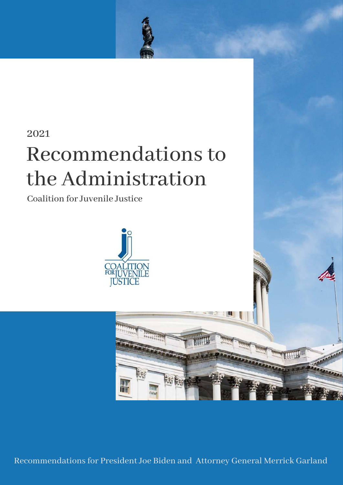

Recommendations for President Joe Biden and Attorney General Merrick Garland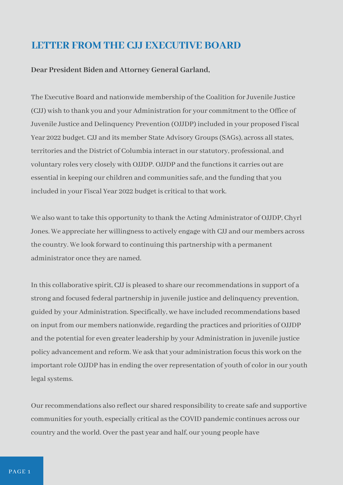### **LETTER FROM THE CJJ EXECUTIVE BOARD**

#### **Dear President Biden and Attorney General Garland,**

The Executive Board and nationwide membership of the Coalition for Juvenile Justice (CJJ) wish to thank you and your Administration for your commitment to the Office of Juvenile Justice and Delinquency Prevention (OJJDP) included in your proposed Fiscal Year 2022 budget. CJJ and its member State Advisory Groups (SAGs), across all states, territories and the District of Columbia interact in our statutory, professional, and voluntary roles very closely with OJJDP. OJJDP and the functions it carries out are essential in keeping our children and communities safe, and the funding that you included in your Fiscal Year 2022 budget is critical to that work.

We also want to take this opportunity to thank the Acting Administrator of OJJDP, Chyrl Jones. We appreciate her willingness to actively engage with CJJ and our members across the country. We look forward to continuing this partnership with a permanent administrator once they are named.

In this collaborative spirit, CJJ is pleased to share our recommendations in support of a strong and focused federal partnership in juvenile justice and delinquency prevention, guided by your Administration. Specifically, we have included recommendations based on input from our members nationwide, regarding the practices and priorities of OJJDP and the potential for even greater leadership by your Administration in juvenile justice policy advancement and reform. We ask that your administration focus this work on the important role OJJDP has in ending the over representation of youth of color in our youth legal systems.

Our recommendations also reflect our shared responsibility to create safe and supportive communities for youth, especially critical as the COVID pandemic continues across our country and the world. Over the past year and half, our young people have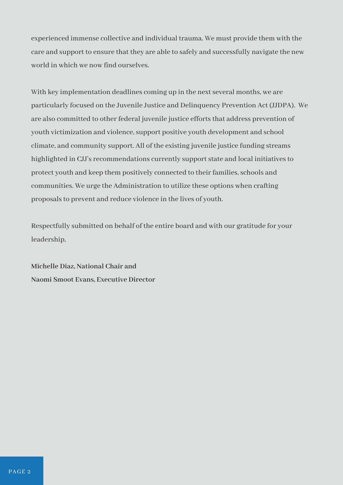experienced immense collective and individual trauma. We must provide them with the care and support to ensure that they are able to safely and successfully navigate the new world in which we now find ourselves.

With key implementation deadlines coming up in the next several months, we are particularly focused on the Juvenile Justice and Delinquency Prevention Act (JJDPA). We are also committed to other federal juvenile justice efforts that address prevention of youth victimization and violence, support positive youth development and school climate, and community support. All of the existing juvenile justice funding streams highlighted in CJJ's recommendations currently support state and local initiatives to protect youth and keep them positively connected to their families, schools and communities. We urge the Administration to utilize these options when crafting proposals to prevent and reduce violence in the lives of youth.

Respectfully submitted on behalf of the entire board and with our gratitude for your leadership,

**Michelle Diaz, National Chair and Naomi Smoot Evans, Executive Director**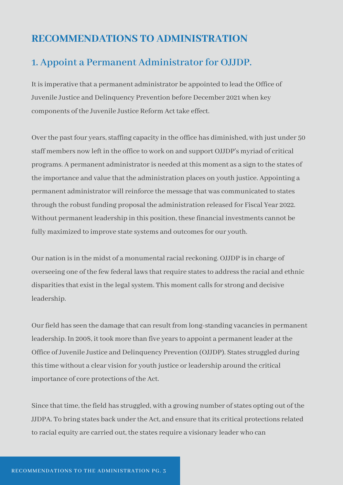### **RECOMMENDATIONS TO ADMINISTRATION**

#### **1. Appoint a Permanent Administrator for OJJDP.**

It is imperative that a permanent administrator be appointed to lead the Office of Juvenile Justice and Delinquency Prevention before December 2021 when key components of the Juvenile Justice Reform Act take effect.

Over the past four years, staffing capacity in the office has diminished, with just under 50 staff members now left in the office to work on and support OJJDP's myriad of critical programs. A permanent administrator is needed at this moment as a sign to the states of the importance and value that the administration places on youth justice. Appointing a permanent administrator will reinforce the message that was communicated to states through the robust funding proposal the administration released for Fiscal Year 2022. Without permanent leadership in this position, these financial investments cannot be fully maximized to improve state systems and outcomes for our youth.

Our nation is in the midst of a monumental racial reckoning. OJJDP is in charge of overseeing one of the few federal laws that require states to address the racial and ethnic disparities that exist in the legal system. This moment calls for strong and decisive leadership.

Our field has seen the damage that can result from long-standing vacancies in permanent leadership. In 2008, it took more than five years to appoint a permanent leader at the Office of Juvenile Justice and Delinquency Prevention (OJJDP). States struggled during this time without a clear vision for youth justice or leadership around the critical importance of core protections of the Act.

Since that time, the field has struggled, with a growing number of states opting out of the JJDPA. To bring states back under the Act, and ensure that its critical protections related to racial equity are carried out, the states require a visionary leader who can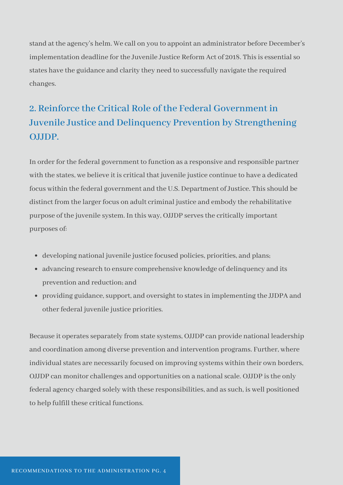stand at the agency's helm. We call on you to appoint an administrator before December's implementation deadline for the Juvenile Justice Reform Act of 2018. This is essential so states have the guidance and clarity they need to successfully navigate the required changes.

# **2. Reinforce the Critical Role of the Federal Government in Juvenile Justice and Delinquency Prevention by Strengthening OJJDP.**

In order for the federal government to function as a responsive and responsible partner with the states, we believe it is critical that juvenile justice continue to have a dedicated focus within the federal government and the U.S. Department of Justice. This should be distinct from the larger focus on adult criminal justice and embody the rehabilitative purpose of the juvenile system. In this way, OJJDP serves the critically important purposes of:

- developing national juvenile justice focused policies, priorities, and plans;
- advancing research to ensure comprehensive knowledge of delinquency and its prevention and reduction; and
- providing guidance, support, and oversight to states in implementing the JJDPA and other federal juvenile justice priorities.

Because it operates separately from state systems, OJJDP can provide national leadership and coordination among diverse prevention and intervention programs. Further, where individual states are necessarily focused on improving systems within their own borders, OJJDP can monitor challenges and opportunities on a national scale. OJJDP is the only federal agency charged solely with these responsibilities, and as such, is well positioned to help fulfill these critical functions.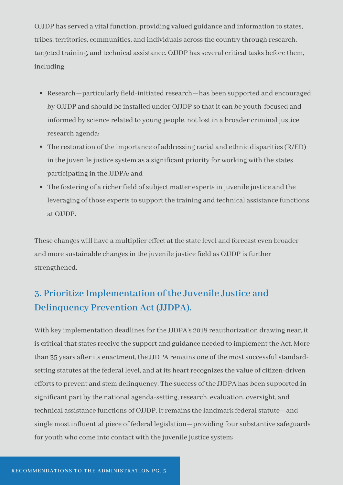OJJDP has served a vital function, providing valued guidance and information to states, tribes, territories, communities, and individuals across the country through research, targeted training, and technical assistance. OJJDP has several critical tasks before them, including:

- Research—particularly field‐initiated research—has been supported and encouraged by OJJDP and should be installed under OJJDP so that it can be youth-focused and informed by science related to young people, not lost in a broader criminal justice research agenda;
- The restoration of the importance of addressing racial and ethnic disparities (R/ED) in the juvenile justice system as a significant priority for working with the states participating in the JJDPA; and
- The fostering of a richer field of subject matter experts in juvenile justice and the leveraging of those experts to support the training and technical assistance functions at OJJDP.

These changes will have a multiplier effect at the state level and forecast even broader and more sustainable changes in the juvenile justice field as OJJDP is further strengthened.

### **3. Prioritize Implementation of the Juvenile Justice and Delinquency Prevention Act (JJDPA).**

With key implementation deadlines for the JJDPA's 2018 reauthorization drawing near, it is critical that states receive the support and guidance needed to implement the Act. More than 35 years after its enactment, the JJDPA remains one of the most successful standard‐ setting statutes at the federal level, and at its heart recognizes the value of citizen-driven efforts to prevent and stem delinquency. The success of the JJDPA has been supported in significant part by the national agenda‐setting, research, evaluation, oversight, and technical assistance functions of OJJDP. It remains the landmark federal statute—and single most influential piece of federal legislation—providing four substantive safeguards for youth who come into contact with the juvenile justice system: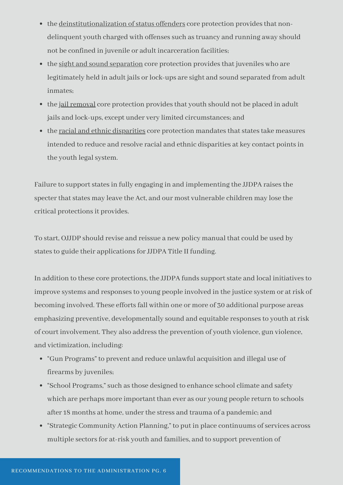- the deinstitutionalization of status offenders core protection provides that nondelinquent youth charged with offenses such as truancy and running away should not be confined in juvenile or adult incarceration facilities;
- the sight and sound separation core protection provides that juveniles who are legitimately held in adult jails or lock‐ups are sight and sound separated from adult inmates;
- the jail removal core protection provides that youth should not be placed in adult jails and lock‐ups, except under very limited circumstances; and
- the racial and ethnic disparities core protection mandates that states take measures intended to reduce and resolve racial and ethnic disparities at key contact points in the youth legal system.

Failure to support states in fully engaging in and implementing the JJDPA raises the specter that states may leave the Act, and our most vulnerable children may lose the critical protections it provides.

To start, OJJDP should revise and reissue a new policy manual that could be used by states to guide their applications for JJDPA Title II funding.

In addition to these core protections, the JJDPA funds support state and local initiatives to improve systems and responses to young people involved in the justice system or at risk of becoming involved. These efforts fall within one or more of 30 additional purpose areas emphasizing preventive, developmentally sound and equitable responses to youth at risk of court involvement. They also address the prevention of youth violence, gun violence, and victimization, including:

- "Gun Programs" to prevent and reduce unlawful acquisition and illegal use of firearms by juveniles;
- "School Programs," such as those designed to enhance school climate and safety which are perhaps more important than ever as our young people return to schools after 18 months at home, under the stress and trauma of a pandemic; and
- "Strategic Community Action Planning," to put in place continuums of services across multiple sectors for at‐risk youth and families, and to support prevention of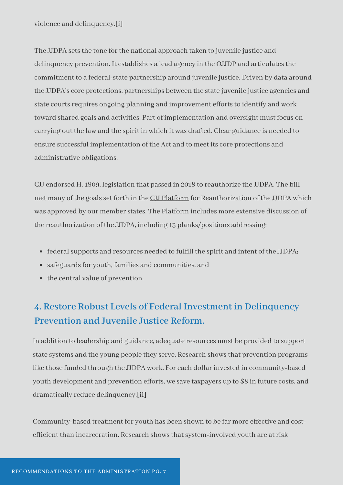The JJDPA sets the tone for the national approach taken to juvenile justice and delinquency prevention. It establishes a lead agency in the OJJDP and articulates the commitment to a federal-state partnership around juvenile justice. Driven by data around the JJDPA's core protections, partnerships between the state juvenile justice agencies and state courts requires ongoing planning and improvement efforts to identify and work toward shared goals and activities. Part of implementation and oversight must focus on carrying out the law and the spirit in which it was drafted. Clear guidance is needed to ensure successful implementation of the Act and to meet its core protections and administrative obligations.

CJJ endorsed H. 1809, legislation that passed in 2018 to reauthorize the JJDPA. The bill met many of the goals set forth in the [CJJ Platform](http://www.juvjustice.org/sites/default/files/resource-files/resource_146_0.pdf) for Reauthorization of the JJDPA which was approved by our member states. The Platform includes more extensive discussion of the reauthorization of the JJDPA, including 13 planks/positions addressing:

- federal supports and resources needed to fulfill the spirit and intent of the JJDPA;
- safeguards for youth, families and communities; and
- the central value of prevention.

## **4. Restore Robust Levels of Federal Investment in Delinquency Prevention and Juvenile Justice Reform.**

In addition to leadership and guidance, adequate resources must be provided to support state systems and the young people they serve. Research shows that prevention programs like those funded through the JJDPA work. For each dollar invested in community‐based youth development and prevention efforts, we save taxpayers up to \$8 in future costs, and dramatically reduce delinquency.[ii]

Community‐based treatment for youth has been shown to be far more effective and cost‐ efficient than incarceration. Research shows that system‐involved youth are at risk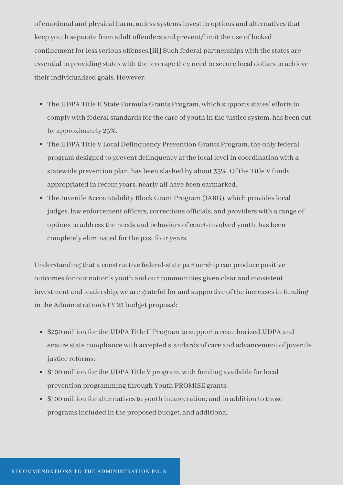of emotional and physical harm, unless systems invest in options and alternatives that keep youth separate from adult offenders and prevent/limit the use of locked confinement for less serious offenses.[iii] Such federal partnerships with the states are essential to providing states with the leverage they need to secure local dollars to achieve their individualized goals. However:

- The JJDPA Title II State Formula Grants Program, which supports states' efforts to comply with federal standards for the care of youth in the justice system, has been cut by approximately 25%.
- The JJDPA Title V Local Delinquency Prevention Grants Program, the only federal program designed to prevent delinquency at the local level in coordination with a statewide prevention plan, has been slashed by about 35%. Of the Title V funds appropriated in recent years, nearly all have been earmarked.
- The Juvenile Accountability Block Grant Program (JABG), which provides local judges, law enforcement officers, corrections officials, and providers with a range of options to address the needs and behaviors of court-involved youth, has been completely eliminated for the past four years.

Understanding that a constructive federal‐state partnership can produce positive outcomes for our nation's youth and our communities given clear and consistent investment and leadership, we are grateful for and supportive of the increases in funding in the Administration's FY'22 budget proposal:

- \$250 million for the JJDPA Title II Program to support a reauthorized JJDPA and ensure state compliance with accepted standards of care and advancement of juvenile justice reforms;
- \$100 million for the JJDPA Title V program, with funding available for local prevention programming through Youth PROMISE grants;
- \$100 million for alternatives to youth incarceration; and in addition to those programs included in the proposed budget, and additional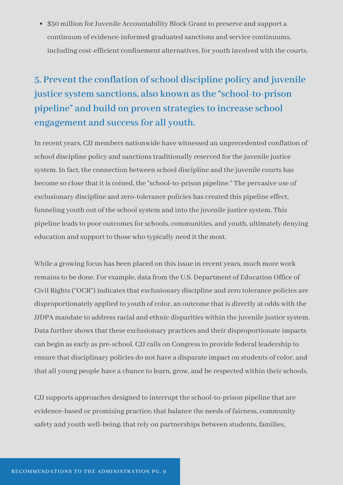\$30 million for Juvenile Accountability Block Grant to preserve and support a continuum of evidence‐informed graduated sanctions and service continuums, including cost‐efficient confinement alternatives, for youth involved with the courts.

# **5. Prevent the conflation of school discipline policy and juvenile justice system sanctions, also known as the "school‐to‐prison pipeline" and build on proven strategies to increase school engagement and success for all youth.**

In recent years, CJJ members nationwide have witnessed an unprecedented conflation of school discipline policy and sanctions traditionally reserved for the juvenile justice system. In fact, the connection between school discipline and the juvenile courts has become so close that it is coined, the "school‐to‐prison pipeline." The pervasive use of exclusionary discipline and zero‐tolerance policies has created this pipeline effect, funneling youth out of the school system and into the juvenile justice system. This pipeline leads to poor outcomes for schools, communities, and youth, ultimately denying education and support to those who typically need it the most.

While a growing focus has been placed on this issue in recent years, much more work remains to be done. For example, data from the U.S. Department of Education Office of Civil Rights ("OCR") indicates that exclusionary discipline and zero tolerance policies are disproportionately applied to youth of color, an outcome that is directly at odds with the JJDPA mandate to address racial and ethnic disparities within the juvenile justice system. Data further shows that these exclusionary practices and their disproportionate impacts can begin as early as pre-school. CJJ calls on Congress to provide federal leadership to ensure that disciplinary policies do not have a disparate impact on students of color, and that all young people have a chance to learn, grow, and be respected within their schools.

CJJ supports approaches designed to interrupt the school-to-prison pipeline that are evidence-based or promising practice; that balance the needs of fairness, community safety and youth well-being; that rely on partnerships between students, families,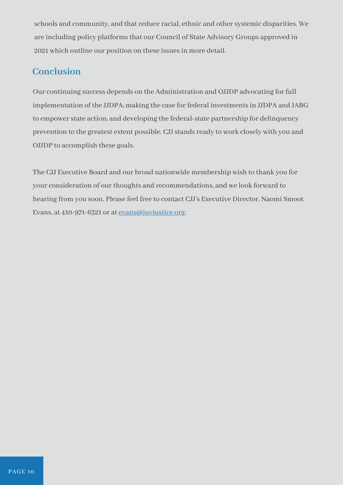schools and community, and that reduce racial, ethnic and other systemic disparities. We are including policy platforms that our Council of State Advisory Groups approved in 2021 which outline our position on these issues in more detail.

#### **Conclusion**

Our continuing success depends on the Administration and OJJDP advocating for full implementation of the JJDPA; making the case for federal investments in JJDPA and JABG to empower state action; and developing the federal‐state partnership for delinquency prevention to the greatest extent possible. CJJ stands ready to work closely with you and OJJDP to accomplish these goals.

The CJJ Executive Board and our broad nationwide membership wish to thank you for your consideration of our thoughts and recommendations, and we look forward to hearing from you soon. Please feel free to contact CJJ's Executive Director, Naomi Smoot Evans, at 410-971-6321 or at <u>evans@juvjustice.org</u>.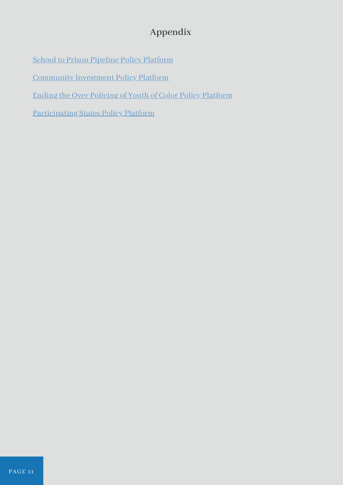### **Appendix**

[School to Prison Pipeline Policy Platform](https://www.juvjustice.org/resources/1329)

[Community Investment Policy Platform](https://www.juvjustice.org/resources/1331)

[Ending the Over Policing of Youth of Color Policy Platform](https://www.juvjustice.org/resources/1332)

[Participating States Policy Platform](https://www.juvjustice.org/resources/1333)